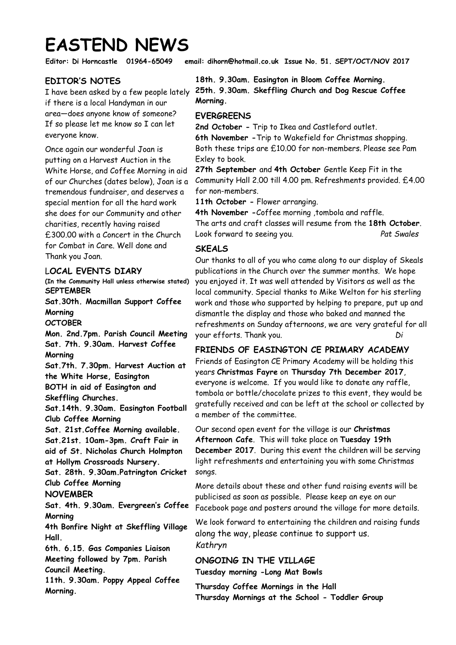# **EASTEND NEWS**

**Editor: Di Horncastle 01964-65049 email: dihorn@hotmail.co.uk Issue No. 51. SEPT/OCT/NOV 2017** 

## **EDITOR'S NOTES**

I have been asked by a few people lately if there is a local Handyman in our area—does anyone know of someone? If so please let me know so I can let everyone know.

Once again our wonderful Joan is putting on a Harvest Auction in the White Horse, and Coffee Morning in aid of our Churches (dates below), Joan is a tremendous fundraiser, and deserves a special mention for all the hard work she does for our Community and other charities, recently having raised £300.00 with a Concert in the Church for Combat in Care. Well done and Thank you Joan.

### L**OCAL EVENTS DIARY**

**(In the Community Hall unless otherwise stated) SEPTEMBER** 

**Sat.30th. Macmillan Support Coffee Morning** 

**OCTOBER** 

**Mon. 2nd.7pm. Parish Council Meeting Sat. 7th. 9.30am. Harvest Coffee Morning Sat.7th. 7.30pm. Harvest Auction at** 

**the White Horse, Easington BOTH in aid of Easington and Skeffling Churches.** 

**Sat.14th. 9.30am. Easington Football Club Coffee Morning** 

**Sat. 21st.Coffee Morning available. Sat.21st. 10am-3pm. Craft Fair in aid of St. Nicholas Church Holmpton at Hollym Crossroads Nursery.** 

**Sat. 28th. 9.30am.Patrington Cricket Club Coffee Morning** 

### **NOVEMBER**

**Sat. 4th. 9.30am. Evergreen's Coffee Morning** 

**4th Bonfire Night at Skeffling Village Hall.** 

**6th. 6.15. Gas Companies Liaison Meeting followed by 7pm. Parish** 

**Council Meeting.** 

**11th. 9.30am. Poppy Appeal Coffee Morning.** 

**18th. 9.30am. Easington in Bloom Coffee Morning. 25th. 9.30am. Skeffling Church and Dog Rescue Coffee Morning.** 

### **EVERGREENS**

**2nd October -** Trip to Ikea and Castleford outlet. **6th November -**Trip to Wakefield for Christmas shopping. Both these trips are £10.00 for non-members. Please see Pam Exley to book.

**27th September** and **4th October** Gentle Keep Fit in the Community Hall 2.00 till 4.00 pm. Refreshments provided. £4.00 for non-members.

**11th October -** Flower arranging.

**4th November -**Coffee morning ,tombola and raffle. The arts and craft classes will resume from the **18th October**. Look forward to seeing you.*Pat Swales*

### **SKEALS**

Our thanks to all of you who came along to our display of Skeals publications in the Church over the summer months. We hope you enjoyed it. It was well attended by Visitors as well as the local community. Special thanks to Mike Welton for his sterling work and those who supported by helping to prepare, put up and dismantle the display and those who baked and manned the refreshments on Sunday afternoons, we are very grateful for all your efforts. Thank you. *Di*

**FRIENDS OF EASINGTON CE PRIMARY ACADEMY** Friends of Easington CE Primary Academy will be holding this years **Christmas Fayre** on **Thursday 7th December 2017**, everyone is welcome. If you would like to donate any raffle, tombola or bottle/chocolate prizes to this event, they would be gratefully received and can be left at the school or collected by a member of the committee.

Our second open event for the village is our **Christmas Afternoon Cafe**. This will take place on **Tuesday 19th December 2017**. During this event the children will be serving light refreshments and entertaining you with some Christmas songs.

More details about these and other fund raising events will be publicised as soon as possible. Please keep an eye on our Facebook page and posters around the village for more details.

We look forward to entertaining the children and raising funds along the way, please continue to support us. *Kathryn*

**ONGOING IN THE VILLAGE Tuesday morning -Long Mat Bowls**

**Thursday Coffee Mornings in the Hall Thursday Mornings at the School - Toddler Group**